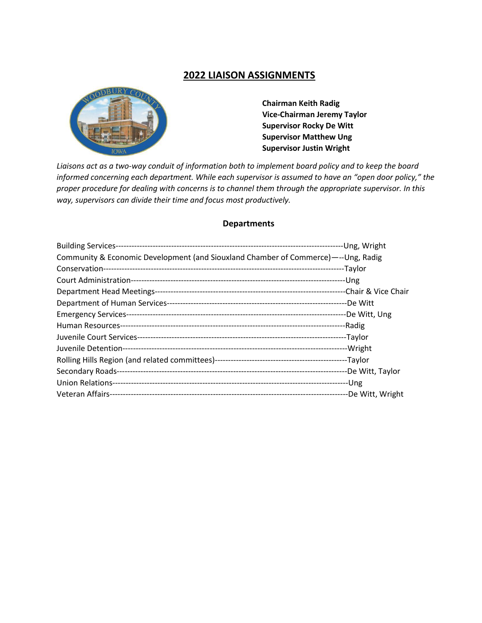## **2022 LIAISON ASSIGNMENTS**



 **Chairman Keith Radig Vice-Chairman Jeremy Taylor Supervisor Rocky De Witt Supervisor Matthew Ung Supervisor Justin Wright** 

*Liaisons act as a two-way conduit of information both to implement board policy and to keep the board informed concerning each department. While each supervisor is assumed to have an "open door policy," the proper procedure for dealing with concerns is to channel them through the appropriate supervisor. In this way, supervisors can divide their time and focus most productively.*

## **Departments**

| Community & Economic Development (and Siouxland Chamber of Commerce)—--Ung, Radig |  |
|-----------------------------------------------------------------------------------|--|
|                                                                                   |  |
|                                                                                   |  |
|                                                                                   |  |
|                                                                                   |  |
|                                                                                   |  |
|                                                                                   |  |
|                                                                                   |  |
|                                                                                   |  |
|                                                                                   |  |
|                                                                                   |  |
|                                                                                   |  |
|                                                                                   |  |